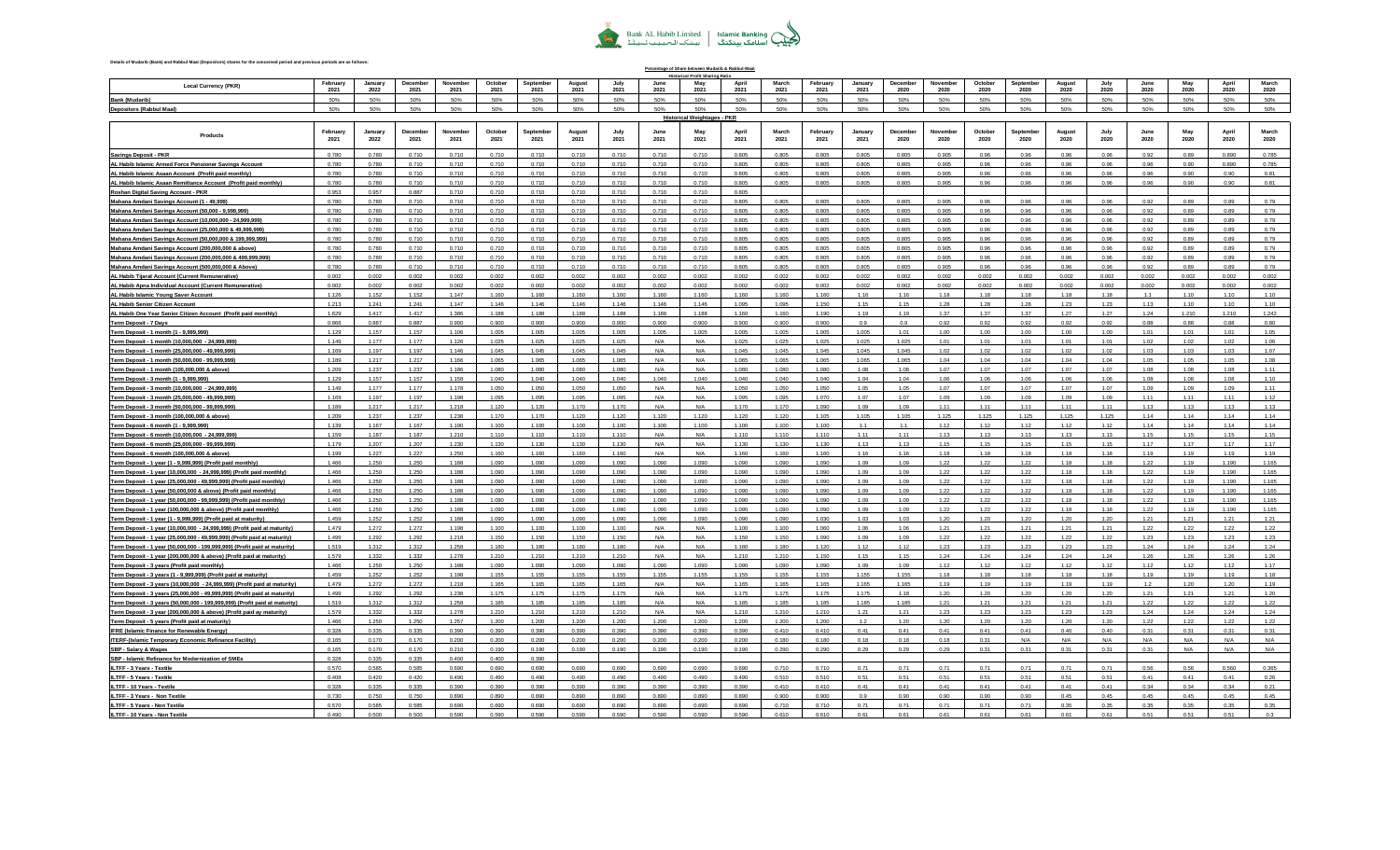## Bank AL Habib Limited | Islamic Banking<br>الجَبِيْبُ اسلامک بينکنگ | بينک الـحـبـيـب لــبي<sup>ـفيو</sup>َ

**Percentage of Share between Mudarib & Rabbul-Maal**

## **Details of Mudarib (Bank) and Rabbul Maal (Depositors) shares for the concerned period and previous periods are as follows:**

| <b>Local Currency (PKR)</b>                                                                                                                               | February<br>2021 | January<br>2022 | December<br>2021 | November<br>2021 | October<br>2021 | Septembe<br>2021 | August<br>2021 | July<br>2021   | June<br>2021   | May<br>202                  | April<br>2021  | March<br>2021  | February<br>2021 | January<br>2021 | Decembe<br>2020 | Novembe<br>2020 | October<br>2020 | Septembe<br>2020 | August<br>2020 | 2020          | June<br>2020 | May<br>2020  | April<br>2020 | March<br>2020 |
|-----------------------------------------------------------------------------------------------------------------------------------------------------------|------------------|-----------------|------------------|------------------|-----------------|------------------|----------------|----------------|----------------|-----------------------------|----------------|----------------|------------------|-----------------|-----------------|-----------------|-----------------|------------------|----------------|---------------|--------------|--------------|---------------|---------------|
| <b>Bank (Mudarib)</b>                                                                                                                                     | 50%              | 50%             | 50%              | 50%              | 50%             | 50%              | 50%            | 50%            | 50%            | 50%                         | 50%            | 50%            | 50%              | 50%             | 50%             | 50%             | 50%             | 50%              | 50%            | 50%           | 50%          | 50%          | 50%           | 50%           |
| <b>Depositors (Rabbul Maal)</b>                                                                                                                           | 50%              | 50%             | 50%              | 50%              | 50%             | 50%              | 50%            | 50%            | 50%            | 50%                         | 50%            | 50%            | 50%              | 50%             | 50%             | 50%             | 50%             | 50%              | 50%            | 50%           | 50%          | 50%          | 50%           | 50%           |
|                                                                                                                                                           |                  |                 |                  |                  |                 |                  |                |                |                | Historical Weightages - PKR |                |                |                  |                 |                 |                 |                 |                  |                |               |              |              |               |               |
|                                                                                                                                                           |                  |                 |                  |                  |                 |                  |                |                |                |                             |                |                |                  |                 |                 |                 |                 |                  |                |               |              |              |               |               |
| Products                                                                                                                                                  | February<br>2021 | January<br>2022 | Decembe<br>2021  | Novemb<br>2021   | October<br>2021 | Sentembe<br>2021 | August<br>2021 | July<br>2021   | June<br>2021   | May<br>2021                 | April<br>2021  | March<br>2021  | February<br>2021 | January<br>2021 | Decembe<br>2020 | Novembe<br>2020 | Octobe<br>2020  | Septembe<br>2020 | August<br>2020 | 2020          | June<br>2020 | May<br>2020  | April<br>2020 | March<br>2020 |
|                                                                                                                                                           |                  |                 |                  |                  |                 |                  |                |                |                |                             |                |                |                  |                 |                 |                 |                 |                  |                |               |              |              |               |               |
| <b>Savings Deposit - PKR</b>                                                                                                                              | 0.780            | 0.780           | 0.710            | 0.710            | 0.710           | 0.710            | 0.710          | 0.710          | 0.710          | 0.710                       | 0.805          | 0.805          | 0.805            | 0.805           | 0.805           | 0.905           | 0.96            | 0.96             | 0.96           | 0.96          | 0.92         | 0.89         | 0.890         | 0.785         |
| AL Habib Islamic Armed Force Pensioner Savings Account                                                                                                    | 0.780            | 0.780           | 0.710            | 0.710            | 0.710           | 0.710            | 0.710          | 0.710          | 0.710          | 0.710                       | 0.805          | 0.805          | 0.805            | 0.805           | 0.805           | 0.905           | 0.96            | 0.96             | 0.96           | 0.96          | 0.96         | 0.90         | 0.890         | 0.785         |
| AL Habib Islamic Asaan Account (Profit paid monthly)                                                                                                      | 0.780            | 0.780           | 0.710            | 0.710            | 0.710           | 0.710            | 0.710          | 0.710          | 0.710          | 0.710                       | 0.805          | 0.805          | 0.805            | 0.805           | 0.805           | 0.905           | 0.96            | 0.96             | 0.96           | 0.96          | 0.96         | 0.90         | 0.90          | 0.81          |
| AL Habib Islamic Asaan Remittance Account (Profit paid monthly)                                                                                           | 0.780            | 0.780           | 0.710            | 0.710            | 0.710           | 0.710            | 0.710          | 0.710          | 0.710          | 0.710                       | 0.805          | 0.805          | 0.805            | 0.805           | 0.805           | 0.905           | 0.96            | 0.96             | 0.96           | 0.96          | 0.96         | 0.90         | 0.90          | 0.81          |
| Roshan Digital Saving Account - PKR                                                                                                                       | 0.953            | 0.957           | 0.887            | 0.710            | 0.710           | 0.710            | 0.710          | 0.710          | 0.710          | 0.710                       | 0.805          |                |                  |                 |                 |                 |                 |                  |                |               |              |              |               |               |
| Mahana Amdani Savings Account (1 - 49,999)                                                                                                                | 0.780            | 0.780           | 0.710            | 0.710            | 0.710           | 0.710            | 0.710          | 0.710          | 0.710          | 0.710                       | 0.805          | 0.805          | 0.805            | 0.805           | 0.805           | 0.905           | 0.96            | 0.96             | 0.96           | 0.96          | 0.92         | 0.89         | 0.89          | 0.79          |
| Mahana Amdani Savings Account (50,000 - 9,999,999)                                                                                                        | 0.780            | 0.780           | 0.710            | 0.710            | 0.710           | 0.710            | 0.710          | 0.710          | 0.710          | 0.710                       | 0.805          | 0.805          | 0.805            | 0.805           | 0.805           | 0.905           | 0.96            | 0.96             | 0.96           | 0.96          | 0.92         | 0.89         | 0.89          | 0.79          |
| Mahana Amdani Savings Account (10,000,000 - 24,999,999)                                                                                                   | 0.780            | 0.780           | 0.710            | 0.710            | 0.710           | 0.710            | 0.710          | 0.710          | 0.710          | 0.710                       | 0.805          | 0.805          | 0.805            | 0.805           | 0.805           | 0.905           | 0.96            | 0.96             | 0.96           | 0.96          | 0.92         | 0.89         | 0.89          | 0.79          |
| Mahana Amdani Savings Account (25,000,000 & 49,999,999)                                                                                                   | 0.780            | 0.780           | 0.710            | 0.710            | 0.710           | 0.710            | 0.710          | 0.710          | 0.710          | 0.710                       | 0.805          | 0.805          | 0.805            | 0.805           | 0.805           | 0.905           | 0.96            | 0.96             | 0.96           | 0.96          | 0.92         | 0.89         | 0.89          | 0.79          |
| Mahana Amdani Savings Account (50,000,000 & 199,999,999                                                                                                   | 0.780            | 0.780           | 0.710            | 0.710            | 0.710           | 0.710            | 0.710          | 0.710          | 0.710          | 0.710                       | 0.805          | 0.805          | 0.805            | 0.805           | 0.805           | 0.905           | 0.96            | 0.96             | 0.96           | 0.96          | 0.92         | 0.89         | 0.89          | 0.79          |
| Mahana Amdani Savings Account (200,000,000 & above)                                                                                                       | 0.780            | 0.780           | 0.710            | 0.710            | 0.710           | 0.710<br>0.710   | 0.710          | 0.710<br>0.710 | 0.710          | 0.710                       | 0.805          | 0.805<br>0.805 | 0.805<br>0.805   | 0.805<br>0.805  | 0.805<br>0.805  | 0.905<br>0.905  | 0.96<br>0.96    | 0.96             | 0.96<br>0.96   | 0.96<br>0.96  | 0.92<br>0.92 | 0.89<br>0.89 | 0.89<br>0.89  | 0.79          |
| Mahana Amdani Savings Account (200,000,000 & 499,999,999)                                                                                                 | 0.780<br>0.780   | 0.780<br>0.780  | 0.710<br>0.710   | 0.710<br>0.710   | 0.710<br>0.710  | 0.710            | 0.710<br>0.710 | 0.710          | 0.710<br>0.710 | 0.710<br>0.710              | 0.805<br>0.805 | 0.805          | 0.805            | 0.805           | 0.805           | 0.905           | 0.96            | 0.96<br>0.96     | 0.96           | 0.96          | 0.92         | 0.89         | 0.89          | 0.79<br>0.79  |
| Mahana Amdani Savings Account (500,000,000 & Above)                                                                                                       | 0.002            | 0.002           | 0.002            | 0.002            | 0.002           | 0.002            | 0.002          | 0.002          | 0.002          | 0.002                       | 0.002          | 0.002          | 0.002            | 0.002           | 0.002           | 0.002           | 0.002           | 0.002            | 0.002          | 0.002         | 0.002        | 0.002        | 0.002         | 0.002         |
| AL Habib Tijarat Account (Current Remunerative)<br>AL Habib Apna Individual Account (Current Remunerative)                                                | 0.002            | 0.002           | 0.002            | 0.002            | 0.002           | 0.002            | 0.002          | 0.002          | 0.002          | 0.002                       | 0.002          | 0.002          | 0.002            | 0.002           | 0.002           | 0.002           | 0.002           | 0.002            | 0.002          | 0.002         | 0.002        | 0.002        | 0.002         | 0.002         |
| AL Habib Islamic Young Saver Account                                                                                                                      | 1.126            | 1.152           | 1.152            | 1.147            | 1.160           | 1.160            | 1.160          | 1.160          | 1.160          | 1.160                       | 1.160          | 1.160          | 1.160            | 1.16            | 1.16            | 1.18            | 1.18            | 1.18             | 1.18           | 1.18          | 11           | 1.10         | 1.10          | 1.10          |
| AL Habib Senior Citizen Account                                                                                                                           | 1.213            | 1.24            | 1.24             | 1.147            | 1.146           | 1.146            | 1.146          | 1.146          | 1.146          | 1.146                       | 1.095          | 1.095          | 1.150            | 1.15            | 1.15            | 1.28            | 1.28            | 1.28             | 1.23           | 1.23          | 1.13         | 1.10         | 1.10          | 1.10          |
| AL Habib One Year Senior Citizen Account (Profit paid monthly)                                                                                            | 1.629            | 1.417           | 1.417            | 1.386            | 1.188           | 1.188            | 1.188          | 1.188          | 1.188          | 1.188                       | 1.160          | 1.160          | 1.190            | 1.19            | 1.19            | 1.37            | 1.37            | 1.37             | 1.27           | 1.27          | 1.24         | 1.210        | 1.210         | 1.242         |
| Term Deposit - 7 Days                                                                                                                                     | 0.866            | 0.887           | 0.887            | 0.900            | 0.900           | 0.900            | 0.900          | 0.900          | 0.900          | 0.900                       | 0.900          | 0.900          | 0.900            | 0.9             | 0.9             | 0.92            | 0.92            | 0.92             | 0.92           | 0.92          | 0.88         | 0.88         | 0.88          | 0.80          |
| Term Deposit - 1 month (1 - 9,999,999)                                                                                                                    | 1.129            | 1.157           | 1.157            | 1.106            | 1.005           | 1.005            | 1.005          | 1.005          | 1.005          | 1.005                       | 1.005          | 1.005          | 1.005            | 1.005           | 1.01            | 1.00            | 1.00            | 1.00             | 1.00           | 1.00          | 1.01         | 1.01         | 1.01          | 1.05          |
| Term Deposit - 1 month (10,000,000 - 24,999,999)                                                                                                          | 1.149            | 1.177           | 1.177            | 1.126            | 1.025           | 1.025            | 1.025          | 1.025          | N/A            | N/A                         | 1.025          | 1.025          | 1.025            | 1.025           | 1.025           | 1.01            | 1.01            | 1.01             | 1.01           | 1.01          | 1.02         | 1.02         | 1.02          | 1.06          |
| Term Deposit - 1 month (25,000,000 - 49,999,999                                                                                                           | 1.169            | 1.197           | 1.197            | 1.146            | 1.045           | 1.045            | 1.045          | 1.045          | N/A            | N/A                         | 1.045          | 1.045          | 1.045            | 1.045           | 1.045           | 1.02            | 1.02            | 1.02             | 1.02           | 1.02          | 1.03         | 1.03         | 1.03          | 1.07          |
| Term Deposit - 1 month (50,000,000 - 99,999,999)                                                                                                          | 1.189            | 1.217           | 1.217            | 1.166            | 1.065           | 1.065            | 1.065          | 1.065          | N/A            | $N/\Delta$                  | 1.065          | 1.065          | 1.065            | 1.065           | 1.065           | 1.04            | 1.04            | 1.04             | 1.04           | 1.04          | 1.05         | 1.05         | 1.05          | 1.08          |
| Term Deposit - 1 month (100,000,000 & above)                                                                                                              | 1.209            | 1.237           | 1.237            | 1.186            | 1.080           | 1.080            | 1.080          | 1.080          | N/A            | N/A                         | 1.080          | 1.080          | 1.080            | 1.08            | 1.08            | 1.07            | 1.07            | 1.07             | 1.07           | 1.07          | 1.08         | 1.08         | 1.08          | 1.11          |
| Term Deposit - 3 month (1 - 9,999,999)                                                                                                                    | 1.129            | 1.157           | 1.157            | 1.158            | 1.040           | 1.040            | 1.040          | 1.040          | 1.040          | 1.040                       | 1.040          | 1.040          | 1.040            | 1.04            | 1.04            | 1.06            | 1.06            | 1.06             | 1.06           | 1.06          | 1.08         | 1.08         | 1.08          | 1.10          |
| Term Deposit - 3 month (10,000,000 - 24,999,999)                                                                                                          | 1.149            | 1.177           | 1.177            | 1.178            | 1.050           | 1.050            | 1.050          | 1.050          | N/A            | N/A                         | 1.050          | 1.050          | 1.050            | 1.05            | 1.05            | 1.07            | 1.07            | 1.07             | 1.07           | 1.07          | 1.09         | 1.09         | 1.09          | 1.11          |
| Term Deposit - 3 month (25,000,000 - 49,999,999)                                                                                                          | 1.169            | 1.197           | 1.197            | 1.198            | 1.095           | 1.095            | 1.095          | 1.095          | N/A            | N/A                         | 1.095          | 1.095          | 1.070            | 1.07            | 1.07            | 1.09            | 1.09            | 1.09             | 1.09           | 1.09          | 1.11         | 1.11         | 1.11          | 1.12          |
| Term Deposit - 3 month (50,000,000 - 99,999,999)                                                                                                          | 1.189            | 1.217           | 1.217            | 1.218            | 1.120           | 1.120            | 1.170          | 1.170          | N/A            | N/A                         | 1.170          | 1.170          | 1.090            | 1.09            | 1.09            | 1.11            | 1.11            | 1.11             | 1.11           | 1.11          | 1.13         | 1.13         | 1.13          | 1.13          |
| Term Deposit - 3 month (100,000,000 & above)                                                                                                              | 1.209            | 1.237           | 1.237            | 1.238            | 1.170           | 1.170            | 1.120          | 1.120          | 1.120          | 1.120                       | 1.120          | 1.120          | 1.105<br>1.100   | 1.105<br>1.1    | 1.105<br>1.1    | 1.125<br>1.12   | 1.125           | 1.125            | 1.125          | 1.125<br>1.12 | 1.14         | 1.14<br>1.14 | 1.14<br>1.14  | 1.14          |
| Term Deposit - 6 month (1 - 9,999,999)                                                                                                                    | 1.139<br>1.159   | 1.167<br>1.187  | 1.167<br>1.187   | 1.190            | 1.100<br>1.110  | 1.100<br>1.110   | 1.100<br>1.110 | 1.100<br>1.110 | 1.100<br>N/A   | 1.100<br>N/A                | 1.100<br>1.110 | 1.100<br>1.110 | 1.110            | 1.11            | 1.11            | 1.13            | 1.12<br>1.13    | 1.12<br>1.13     | 1.12<br>1.13   | 1.13          | 1.14<br>1.15 | 1.15         | 1.15          | 1.14<br>1.15  |
| Term Deposit - 6 month (10,000,000 - 24,999,999)<br>Term Deposit - 6 month (25,000,000 - 99,999,999                                                       | 1.179            | 1.207           | 1.207            | 1.210<br>1.230   | 1.130           | 1.130            | 1.130          | 1.130          | N/A            | N/A                         | 1.130          | 1.130          | 1.130            | 1.13            | 1.13            | 1.15            | 1.15            | 1.15             | 1.15           | 1.15          | 1.17         | 1 17         | 1 1 7         | 1.17          |
| Term Deposit - 6 month (100,000,000 & above)                                                                                                              | 1.199            | 1.227           | 1.227            | 1.250            | 1.160           | 1.160            | 1.160          | 1.160          | N/A            | N/A                         | 1.160          | 1.160          | 1.160            | 1.16            | 1.16            | 1.18            | 1.18            | 1.18             | 1.18           | 1.18          | 1.19         | 1.19         | 1.19          | 1.19          |
| Term Deposit - 1 year (1 - 9,999,999) (Profit paid monthly)                                                                                               | 1.466            | 1.250           | 1.250            | 1.188            | 1.090           | 1.090            | 1.090          | 1.090          | 1.090          | 1.090                       | 1.090          | 1.090          | 1.090            | 1.09            | 1.09            | 1.22            | 1.22            | 1.22             | 1.18           | 1.18          | 1.22         | 1.19         | 1.190         | 1.165         |
| Term Deposit - 1 year (10,000,000 - 24,999,999) (Profit paid monthly)                                                                                     | 1.466            | 1.250           | 1.250            | 1.188            | 1.090           | 1.090            | 1.090          | 1.090          | 1.090          | 1.090                       | 1.090          | 1.090          | 1.090            | 1.09            | 1.09            | 1.22            | 1.22            | 1.22             | 1.18           | 1.18          | 1.22         | 1.19         | 1.190         | 1.165         |
| Term Deposit - 1 year (25,000,000 - 49,999,999) (Profit paid monthly)                                                                                     | 1.466            | 1.250           | 1.250            | 1.188            | 1.090           | 1.090            | 1.090          | 1.090          | 1.090          | 1.090                       | 1.090          | 1.090          | 1.090            | 1.09            | 1.09            | 1.22            | 1.22            | 1.22             | 1.18           | 1.18          | 1.22         | 1.19         | 1.190         | 1.165         |
| Term Deposit - 1 year (50,000,000 & above) (Profit paid monthly)                                                                                          | 1.466            | 1.250           | 1.250            | 1.188            | 1.090           | 1.090            | 1.090          | 1.090          | 1.090          | 1.090                       | 1.090          | 1.090          | 1.090            | 1.09            | 1.09            | 1.22            | 1.22            | 1.22             | 1.18           | 1.18          | 1.22         | 1.19         | 1.190         | 1.165         |
| Term Deposit - 1 year (50,000,000 - 99,999,999) (Profit paid monthly)                                                                                     | 1.466            | 1.250           | 1.250            | 1.188            | 1.090           | 1.090            | 1.090          | 1.090          | 1.090          | 1.090                       | 1.090          | 1.090          | 1.090            | 1.09            | 1.09            | 1.22            | 1.22            | 1.22             | 1.18           | 1.18          | 1.22         | 1.19         | 1.190         | 1.165         |
| Term Deposit - 1 year (100,000,000 & above) (Profit paid monthly)                                                                                         | 1.466            | 1.250           | 1.250            | 1.188            | 1.090           | 1.090            | 1.090          | 1.090          | 1.090          | 1.090                       | 1.090          | 1,090          | 1.090            | 1.09            | 1.09            | 1.22            | 1.22            | 1.22             | 1.18           | 1.18          | 1.22         | 1.19         | 1.190         | 1.165         |
| Term Deposit - 1 year (1 - 9,999,999) (Profit paid at maturity)                                                                                           | 1.459            | 1.252           | 1.252            | 1.188            | 1.090           | 1.090            | 1.090          | 1.090          | 1.090          | 1.090                       | 1.090          | 1.090          | 1.030            | 1.03            | 1.03            | 1.20            | 1.20            | 1.20             | 1.20           | 1.20          | 1.21         | 1.21         | 1.21          | 1.21          |
| Term Deposit - 1 year (10,000,000 - 24,999,999) (Profit paid at maturity)                                                                                 | 1.479            | 1.272           | 1.272            | 1.198            | 1.100           | 1.100            | 1.100          | 1.100          | N/A            | N/A                         | 1.100          | 1.100          | 1.060            | 1.06            | 1.06            | 1.21            | 1.21            | 1.21             | 1.21           | 1.21          | 1.22         | 1.22         | 1.22          | 1.22          |
| Term Deposit - 1 year (25,000,000 - 49,999,999) (Profit paid at maturity)                                                                                 | 1.499            | 1.292           | 1.292            | 1.218            | 1.150           | 1.150            | 1.150          | 1.150          | N/A            | N/A                         | 1.150          | 1.150          | 1.090            | 1.09            | 1.09            | 1.22            | 1.22            | 1.22             | 1.22           | 1.22          | 1.23         | 1.23         | 1.23          | 1.23          |
| Term Deposit - 1 year (50,000,000 - 199,999,999) (Profit paid at maturity)                                                                                | 1.519            | 1.312           | 1.312            | 1.258            | 1.180           | 1.180            | 1.180          | 1.180          | N/A            | N/A                         | 1.180          | 1.180          | 1.120            | 1.12            | 1.12            | 1.23            | 1.23            | 1.23             | 1.23           | 1.23          | 1.24         | 1.24         | 1.24          | 1.24          |
| Term Deposit - 1 year (200,000,000 & above) (Profit paid at maturity)                                                                                     | 1.579            | 1.332           | 1.332            | 1.278            | 1.210           | 1.210            | 1.210          | 1.210          | N/A            | N/A                         | 1.210          | 1.210          | 1.150            | 1.15            | 1.15            | 1.24            | 1.24            | 1.24             | 1.24           | 1.24          | 1.26         | 1.26         | 1.26          | 1.26          |
| Term Deposit - 3 years (Profit paid monthly)                                                                                                              | 1.466<br>1.459   | 1.250<br>1.252  | 1.250<br>1.252   | 1.188<br>1.198   | 1.090<br>1.155  | 1.090<br>1.155   | 1.090<br>1.155 | 1.090<br>1.155 | 1.090<br>1.155 | 1.090<br>1.155              | 1.090<br>1.155 | 1.090<br>1.155 | 1.090<br>1.155   | 1.09<br>1.155   | 1.09<br>1.155   | 1.12<br>1.18    | 1.12<br>1.18    | 1.12<br>1.18     | 1.12<br>1.18   | 1.12<br>1.18  | 1.12<br>1.19 | 1.12<br>1.19 | 1.12<br>1.19  | 1.17<br>1.18  |
| Term Deposit - 3 years (1 - 9,999,999) (Profit paid at maturity)                                                                                          | 1.479            | 1.272           | 1.272            | 1.218            | 1.165           | 1.165            | 1.165          | 1.165          | N/A            | N/A                         | 1.165          | 1.165          | 1.165            | 1.165           | 1.165           | 1.19            | 1.19            | 1.19             | 1.19           | 1.19          | $1.2\,$      | 1.20         | 1.20          | 1.19          |
| Term Deposit - 3 years (10,000,000 - 24,999,999) (Profit paid at maturity                                                                                 | 1.499            | 1.292           | 1.292            | 1.238            | 1.175           | 1.175            | 1.175          | 1.175          | N/A            | N/A                         | 1.175          | 1.175          | 1.175            | 1.175           | 1.18            | 1.20            | 1.20            | 1.20             | 1.20           | 1.20          | 1.21         | 1.21         | 1.21          | 1.20          |
| Term Deposit - 3 years (25,000,000 - 49,999,999) (Profit paid at maturity)<br>Term Deposit - 3 years (50,000,000 - 199,999,999) (Profit paid at maturity) | 1.519            | 1.312           | 1.312            | 1.258            | 1.185           | 1.185            | 1.185          | 1.185          | N/A            | N/A                         | 1.185          | 1.185          | 1.185            | 1.185           | 1.185           | 1.21            | 1.21            | 1.21             | 1.21           | 1.21          | 1.22         | 1.22         | 1.22          | 1.22          |
| Term Deposit - 3 year (200,000,000 & above) (Profit paid ay maturity)                                                                                     | 1.579            | 1.332           | 1.332            | 1.278            | 1.210           | 1.210            | 1.210          | 1.210          | N/A            | N/A                         | 1.210          | 1.210          | 1.210            | 1.21            | 1.21            | 1.23            | 1.23            | 1.23             | 1.23           | 1.23          | 1.24         | 1.24         | 1.24          | 1.24          |
| Term Deposit - 5 years (Profit paid at maturity)                                                                                                          | 1.466            | 1.250           | 1.250            | 1.257            | 1.200           | 1.200            | 1.200          | 1.200          | 1.200          | 1.200                       | 1.200          | 1.200          | 1.200            | 1.2             | 1.20            | 1.20            | 1.20            | 1.20             | 1.20           | 1.20          | 1.22         | 1.22         | 1.22          | 1.22          |
| IFRE (Islamic Finance for Renewable Energy)                                                                                                               | 0.328            | 0.335           | 0.335            | 0.390            | 0.390           | 0.390            | 0.390          | 0.390          | 0.390          | 0.390                       | 0.390          | 0.410          | 0.410            | 0.41            | 0.41            | 0.41            | 0.41            | 0.41             | 0.40           | 0.40          | 0.31         | 0.31         | 0.31          | 0.31          |
| <b>ITERF-(Islamic Temporary Economic Refinance Facility)</b>                                                                                              | 0.165            | 0.170           | 0.170            | 0.200            | 0.200           | 0.200            | 0.200          | 0.200          | 0.200          | 0.200                       | 0.200          | 0.180          | 0.180            | 0.18            | 0.18            | 0.18            | 0.31            | N/A              | N/A            | N/A           | N/A          | N/A          | N/A           | N/A           |
| SBP - Salary & Wages                                                                                                                                      | 0.165            | 0.170           | 0.170            | 0.210            | 0.190           | 0.190            | 0.190          | 0.190          | 0.190          | 0.190                       | 0.190          | 0.290          | 0.290            | 0.29            | 0.29            | 0.29            | 0.31            | 0.31             | 0.31           | 0.31          | 0.31         | N/A          | N/A           | N/A           |
| SBP - Islamic Refinance for Modernization of SMEs                                                                                                         | 0.328            | 0.335           | 0.335            | 0.400            | 0.400           | 0.390            |                |                |                |                             |                |                |                  |                 |                 |                 |                 |                  |                |               |              |              |               |               |
| ILTFF - 3 Years - Textile                                                                                                                                 | 0.570            | 0.585           | 0.585            | 0.690            | 0.690           | 0.690            | 0.690          | 0.690          | 0.690          | 0.690                       | 0.690          | 0.710          | 0.710            | 0.71            | 0.71            | 0.71            | 0.71            | 0.71             | 0.71           | 0.71          | 0.56         | 0.56         | 0.560         | 0.365         |
| ILTFF - 5 Years - Textile                                                                                                                                 | 0.408            | 0.420           | 0.420            | 0.490            | 0.490           | 0.490            | 0.490          | 0.490          | 0.490          | 0.490                       | 0.490          | 0.510          | 0.510            | 0.51            | 0.51            | 0.51            | 0.51            | 0.51             | 0.51           | 0.51          | 0.41         | 0.41         | 0.41          | 0.26          |
| ILTFF - 10 Years - Textile                                                                                                                                | 0.328            | 0.335           | 0.335            | 0.390            | 0.390           | 0.390            | 0.390          | 0.390          | 0.390          | 0.390                       | 0.390          | 0.410          | 0.410            | 0.41            | 0.41            | 0.41            | 0.41            | 0.41             | 0.41           | 0.41          | 0.34         | 0.34         | 0.34          | 0.21          |
| ILTFF - 3 Years - Non Textile                                                                                                                             | 0.730            | 0.750           | 0.750            | 0.890            | 0.890           | 0.890            | 0.890          | 0.890          | 0.890          | 0.890                       | 0.890          | 0.900          | 0.900            | 0.9             | 0.90            | 0.90            | 0.90            | 0.90             | 0.45           | 0.45          | 0.45         | 0.45         | 0.45          | 0.45          |
| ILTFF - 5 Years - Non Textile                                                                                                                             | 0.570            | 0.585           | 0.585            | 0.690            | 0.690           | 0.690            | 0.690          | 0.690          | 0.690          | 0.690                       | 0.690          | 0.710          | 0.710            | 0.71            | 0.71            | 0.71            | 0.71            | 0.71             | 0.35           | 0.35          | 0.35         | 0.35         | 0.35          | 0.35          |
| ILTFF - 10 Years - Non Textile                                                                                                                            | 0.490            | 0.500           | 0.500            | 0.590            | 0.590           | 0.590            | 0.590          | 0.590          | 0.590          | 0.590                       | 0.590          | 0.610          | 0.610            | 0.61            | 0.61            | 0.61            | 0.61            | 0.61             | 0.61           | 0.61          | 0.51         | 0.51         | 0.51          | 0.3           |